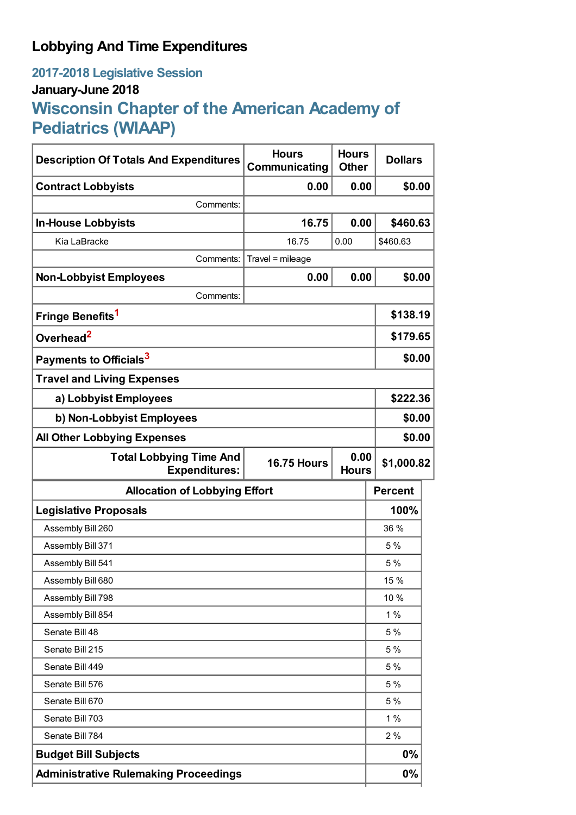## **Lobbying And Time Expenditures**

## **2017-2018 Legislative Session January-June 2018 Wisconsin Chapter of the American Academy of Pediatrics (WIAAP)**

| <b>Description Of Totals And Expenditures</b>          | <b>Hours</b><br>Communicating | <b>Hours</b><br><b>Other</b> | <b>Dollars</b> |
|--------------------------------------------------------|-------------------------------|------------------------------|----------------|
| <b>Contract Lobbyists</b>                              | 0.00                          | 0.00                         | \$0.00         |
| Comments:                                              |                               |                              |                |
| <b>In-House Lobbyists</b>                              | 16.75                         | 0.00                         | \$460.63       |
| Kia LaBracke                                           | 16.75                         | 0.00                         | \$460.63       |
| Comments:                                              | Travel = mileage              |                              |                |
| <b>Non-Lobbyist Employees</b>                          | 0.00                          | 0.00                         | \$0.00         |
| Comments:                                              |                               |                              |                |
| Fringe Benefits <sup>1</sup>                           |                               |                              | \$138.19       |
| Overhead <sup>2</sup>                                  |                               |                              | \$179.65       |
| Payments to Officials <sup>3</sup>                     |                               |                              | \$0.00         |
| <b>Travel and Living Expenses</b>                      |                               |                              |                |
| a) Lobbyist Employees                                  |                               |                              | \$222.36       |
| b) Non-Lobbyist Employees                              |                               |                              | \$0.00         |
| <b>All Other Lobbying Expenses</b>                     |                               |                              | \$0.00         |
| <b>Total Lobbying Time And</b><br><b>Expenditures:</b> | <b>16.75 Hours</b>            | 0.00<br><b>Hours</b>         | \$1,000.82     |
| <b>Allocation of Lobbying Effort</b>                   |                               |                              | <b>Percent</b> |
| <b>Legislative Proposals</b>                           |                               |                              | 100%           |
| Assembly Bill 260                                      |                               |                              | 36 %           |
| Assembly Bill 371                                      |                               |                              | 5 %            |
| Assembly Bill 541                                      |                               |                              | 5 %            |
| Assembly Bill 680                                      |                               |                              | 15 %           |
| Assembly Bill 798                                      |                               |                              | 10 %           |
| Assembly Bill 854                                      |                               |                              | 1%             |
| Senate Bill 48                                         |                               |                              | 5 %            |
| Senate Bill 215                                        |                               |                              | 5 %            |
| Senate Bill 449                                        |                               |                              | 5 %            |
| Senate Bill 576                                        |                               |                              | 5%             |
| Senate Bill 670                                        |                               |                              | 5%             |
| Senate Bill 703                                        |                               |                              | $1\%$          |
| Senate Bill 784                                        |                               |                              | 2%             |
| <b>Budget Bill Subjects</b>                            |                               |                              | $0\%$          |
| <b>Administrative Rulemaking Proceedings</b>           |                               |                              | $0\%$          |